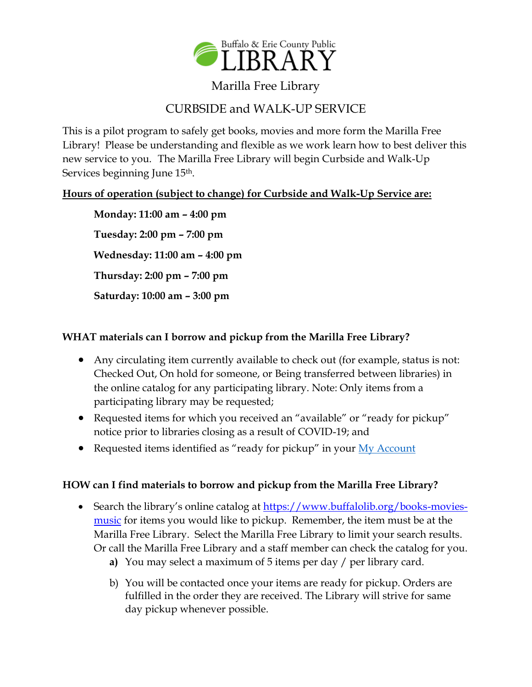

## Marilla Free Library

# CURBSIDE and WALK-UP SERVICE

This is a pilot program to safely get books, movies and more form the Marilla Free Library! Please be understanding and flexible as we work learn how to best deliver this new service to you. The Marilla Free Library will begin Curbside and Walk-Up Services beginning June 15<sup>th</sup>.

### **Hours of operation (subject to change) for Curbside and Walk-Up Service are:**

**Monday: 11:00 am – 4:00 pm Tuesday: 2:00 pm – 7:00 pm Wednesday: 11:00 am – 4:00 pm Thursday: 2:00 pm – 7:00 pm Saturday: 10:00 am – 3:00 pm**

#### **WHAT materials can I borrow and pickup from the Marilla Free Library?**

- Any circulating item currently available to check out (for example, status is not: Checked Out, On hold for someone, or Being transferred between libraries) in the online catalog for any participating library. Note: Only items from a participating library may be requested;
- Requested items for which you received an "available" or "ready for pickup" notice prior to libraries closing as a result of COVID-19; and
- Requested items identified as "ready for pickup" in your [My Account](https://bepl.ent.sirsi.net/client/en_US/default/search/framedpage/$002fcustom$002fweb$002fcontent$002fmyaccount.html/My$0020Account/800px/false)

#### **HOW can I find materials to borrow and pickup from the Marilla Free Library?**

- Search the library's online catalog at [https://www.buffalolib.org/books-movies](https://www.buffalolib.org/books-movies-music)[music](https://www.buffalolib.org/books-movies-music) for items you would like to pickup. Remember, the item must be at the Marilla Free Library. Select the Marilla Free Library to limit your search results. Or call the Marilla Free Library and a staff member can check the catalog for you.
	- **a)** You may select a maximum of 5 items per day / per library card.
	- b) You will be contacted once your items are ready for pickup. Orders are fulfilled in the order they are received. The Library will strive for same day pickup whenever possible.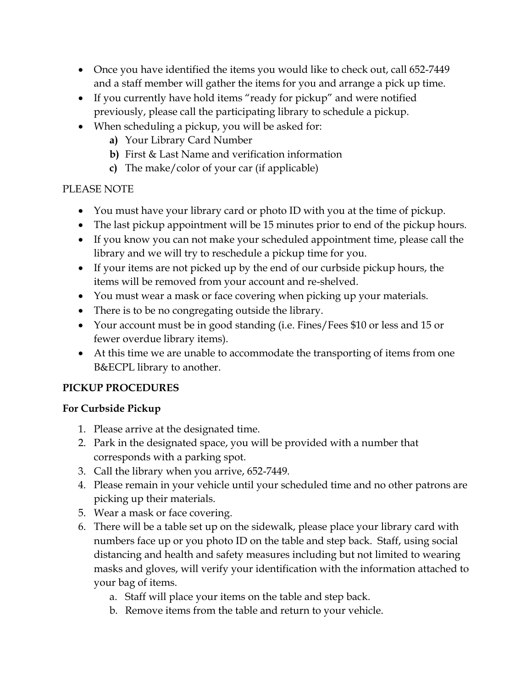- Once you have identified the items you would like to check out, call 652-7449 and a staff member will gather the items for you and arrange a pick up time.
- If you currently have hold items "ready for pickup" and were notified previously, please call the participating library to schedule a pickup.
- When scheduling a pickup, you will be asked for:
	- **a)** Your Library Card Number
	- **b)** First & Last Name and verification information
	- **c)** The make/color of your car (if applicable)

## PLEASE NOTE

- You must have your library card or photo ID with you at the time of pickup.
- The last pickup appointment will be 15 minutes prior to end of the pickup hours.
- If you know you can not make your scheduled appointment time, please call the library and we will try to reschedule a pickup time for you.
- If your items are not picked up by the end of our curbside pickup hours, the items will be removed from your account and re-shelved.
- You must wear a mask or face covering when picking up your materials.
- There is to be no congregating outside the library.
- Your account must be in good standing (i.e. Fines/Fees \$10 or less and 15 or fewer overdue library items).
- At this time we are unable to accommodate the transporting of items from one B&ECPL library to another.

### **PICKUP PROCEDURES**

### **For Curbside Pickup**

- 1. Please arrive at the designated time.
- 2. Park in the designated space, you will be provided with a number that corresponds with a parking spot.
- 3. Call the library when you arrive, 652-7449.
- 4. Please remain in your vehicle until your scheduled time and no other patrons are picking up their materials.
- 5. Wear a mask or face covering.
- 6. There will be a table set up on the sidewalk, please place your library card with numbers face up or you photo ID on the table and step back. Staff, using social distancing and health and safety measures including but not limited to wearing masks and gloves, will verify your identification with the information attached to your bag of items.
	- a. Staff will place your items on the table and step back.
	- b. Remove items from the table and return to your vehicle.